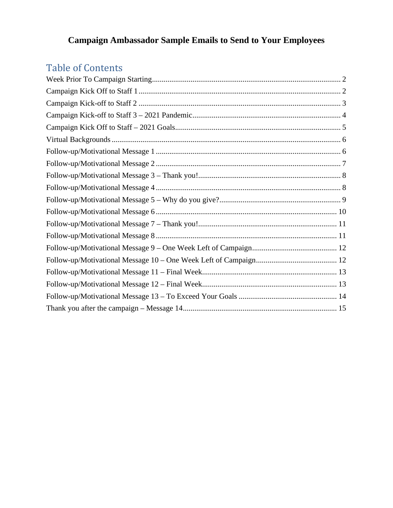# **Campaign Ambassador Sample Emails to Send to Your Employees**

# Table of Contents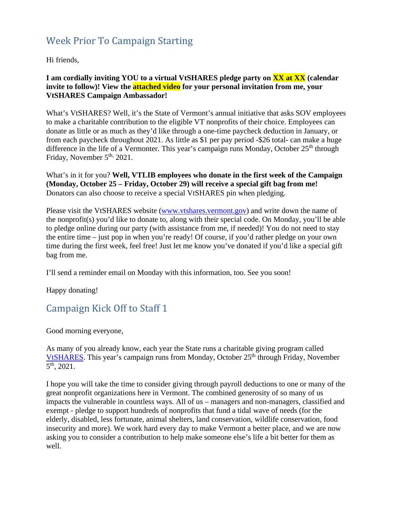#### Week Prior To Campaign Starting

Hi friends,

#### **I am cordially inviting YOU to a virtual VtSHARES pledge party on XX at XX (calendar invite to follow)! View the attached video for your personal invitation from me, your VtSHARES Campaign Ambassador!**

What's VtSHARES? Well, it's the State of Vermont's annual initiative that asks SOV employees to make a charitable contribution to the eligible VT nonprofits of their choice. Employees can donate as little or as much as they'd like through a one-time paycheck deduction in January, or from each paycheck throughout 2021. As little as \$1 per pay period -\$26 total- can make a huge difference in the life of a Vermonter. This year's campaign runs Monday, October  $25<sup>th</sup>$  through Friday, November 5<sup>th,</sup> 2021.

What's in it for you? **Well, VTLIB employees who donate in the first week of the Campaign (Monday, October 25 – Friday, October 29) will receive a special gift bag from me!**  Donators can also choose to receive a special VtSHARES pin when pledging.

Please visit the VtSHARES website [\(www.vtshares.vermont.gov\)](http://www.vtshares.vermont.gov/) and write down the name of the nonprofit(s) you'd like to donate to, along with their special code. On Monday, you'll be able to pledge online during our party (with assistance from me, if needed)! You do not need to stay the entire time – just pop in when you're ready! Of course, if you'd rather pledge on your own time during the first week, feel free! Just let me know you've donated if you'd like a special gift bag from me.

I'll send a reminder email on Monday with this information, too. See you soon!

Happy donating!

#### Campaign Kick Off to Staff 1

Good morning everyone,

As many of you already know, each year the State runs a charitable giving program called [VtSHARES.](http://vtshares.vermont.gov/) This year's campaign runs from Monday, October 25<sup>th</sup> through Friday, November 5th, 2021.

I hope you will take the time to consider giving through payroll deductions to one or many of the great nonprofit organizations here in Vermont. The combined generosity of so many of us impacts the vulnerable in countless ways. All of us – managers and non-managers, classified and exempt - pledge to support hundreds of nonprofits that fund a tidal wave of needs (for the elderly, disabled, less fortunate, animal shelters, land conservation, wildlife conservation, food insecurity and more). We work hard every day to make Vermont a better place, and we are now asking you to consider a contribution to help make someone else's life a bit better for them as well.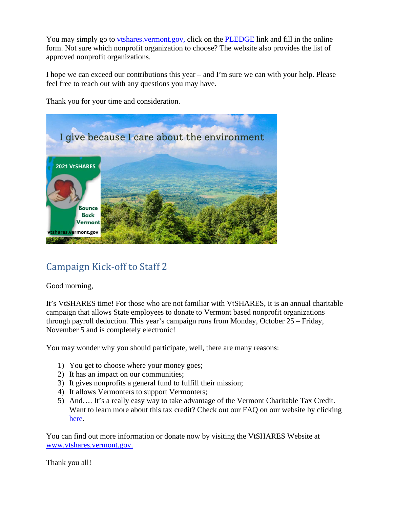You may simply go to [vtshares.vermont.gov,](http://vtshares.vermont.gov/) click on the [PLEDGE](https://vtshares.vermont.gov/content/pledge) link and fill in the online form. Not sure which nonprofit organization to choose? The website also provides the list of approved nonprofit organizations.

I hope we can exceed our contributions this year – and I'm sure we can with your help. Please feel free to reach out with any questions you may have.

Thank you for your time and consideration.



# Campaign Kick-off to Staff 2

Good morning,

It's VtSHARES time! For those who are not familiar with VtSHARES, it is an annual charitable campaign that allows State employees to donate to Vermont based nonprofit organizations through payroll deduction. This year's campaign runs from Monday, October 25 – Friday, November 5 and is completely electronic!

You may wonder why you should participate, well, there are many reasons:

- 1) You get to choose where your money goes;
- 2) It has an impact on our communities;
- 3) It gives nonprofits a general fund to fulfill their mission;
- 4) It allows Vermonters to support Vermonters;
- 5) And…. It's a really easy way to take advantage of the Vermont Charitable Tax Credit. Want to learn more about this tax credit? Check out our FAQ on our website by clicking [here.](https://vtshares.vermont.gov/faq)

You can find out more information or donate now by visiting the VtSHARES Website at [www.vtshares.vermont.gov.](http://www.vtshares.vermont.gov/)

Thank you all!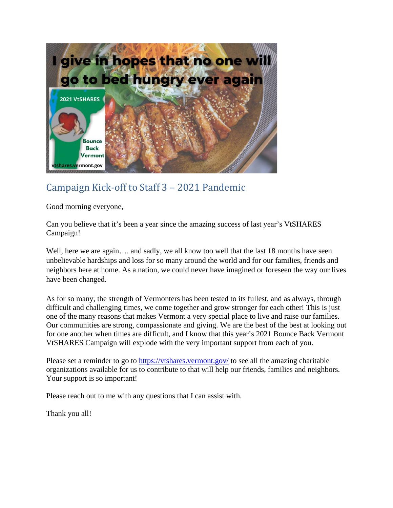

### Campaign Kick-off to Staff 3 – 2021 Pandemic

Good morning everyone,

Can you believe that it's been a year since the amazing success of last year's VtSHARES Campaign!

Well, here we are again.... and sadly, we all know too well that the last 18 months have seen unbelievable hardships and loss for so many around the world and for our families, friends and neighbors here at home. As a nation, we could never have imagined or foreseen the way our lives have been changed.

As for so many, the strength of Vermonters has been tested to its fullest, and as always, through difficult and challenging times, we come together and grow stronger for each other! This is just one of the many reasons that makes Vermont a very special place to live and raise our families. Our communities are strong, compassionate and giving. We are the best of the best at looking out for one another when times are difficult, and I know that this year's 2021 Bounce Back Vermont VtSHARES Campaign will explode with the very important support from each of you.

Please set a reminder to go to <https://vtshares.vermont.gov/> to see all the amazing charitable organizations available for us to contribute to that will help our friends, families and neighbors. Your support is so important!

Please reach out to me with any questions that I can assist with.

Thank you all!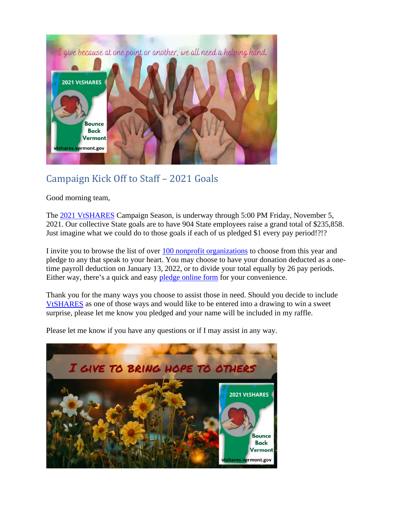

### Campaign Kick Off to Staff – 2021 Goals

Good morning team,

The 2021 [VtSHARES](https://vtshares.vermont.gov/) Campaign Season, is underway through 5:00 PM Friday, November 5, 2021. Our collective State goals are to have 904 State employees raise a grand total of \$235,858. Just imagine what we could do to those goals if each of us pledged \$1 every pay period!?!?

I invite you to browse the list of over [100 nonprofit organizations](https://vtshares.vermont.gov/content/nonprofit-organizations) to choose from this year and pledge to any that speak to your heart. You may choose to have your donation deducted as a onetime payroll deduction on January 13, 2022, or to divide your total equally by 26 pay periods. Either way, there's a quick and easy [pledge online form](https://vtshares.vermont.gov/content/pledge) for your convenience.

Thank you for the many ways you choose to assist those in need. Should you decide to include [VtSHARES](https://vtshares.vermont.gov/content/state-employees) as one of those ways and would like to be entered into a drawing to win a sweet surprise, please let me know you pledged and your name will be included in my raffle.

Please let me know if you have any questions or if I may assist in any way.

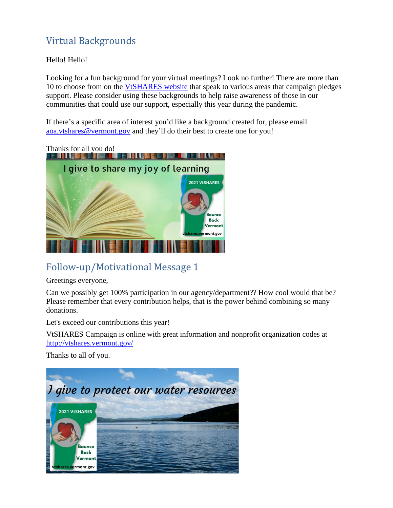# Virtual Backgrounds

Hello! Hello!

Looking for a fun background for your virtual meetings? Look no further! There are more than 10 to choose from on the [VtSHARES website](https://vtshares.vermont.gov/content/state-employees) that speak to various areas that campaign pledges support. Please consider using these backgrounds to help raise awareness of those in our communities that could use our support, especially this year during the pandemic.

If there's a specific area of interest you'd like a background created for, please email [aoa.vtshares@vermont.gov](mailto:aoa.vtshares@vermont.gov) and they'll do their best to create one for you!



# Follow-up/Motivational Message 1

Greetings everyone,

Can we possibly get 100% participation in our agency/department?? How cool would that be? Please remember that every contribution helps, that is the power behind combining so many donations.

Let's exceed our contributions this year!

VtSHARES Campaign is online with great information and nonprofit organization codes at <http://vtshares.vermont.gov/>

Thanks to all of you.

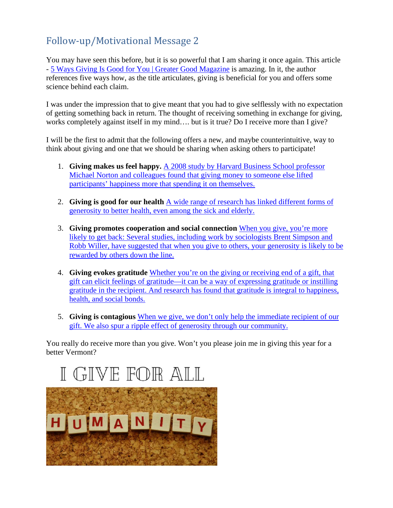# Follow-up/Motivational Message 2

You may have seen this before, but it is so powerful that I am sharing it once again. This article - [5 Ways Giving Is Good for You | Greater Good Magazine](https://greatergood.berkeley.edu/article/item/5_ways_giving_is_good_for_you) is amazing. In it, the author references five ways how, as the title articulates, giving is beneficial for you and offers some science behind each claim.

I was under the impression that to give meant that you had to give selflessly with no expectation of getting something back in return. The thought of receiving something in exchange for giving, works completely against itself in my mind…. but is it true? Do I receive more than I give?

I will be the first to admit that the following offers a new, and maybe counterintuitive, way to think about giving and one that we should be sharing when asking others to participate!

- 1. **Giving makes us feel happy.** [A 2008 study by Harvard Business School professor](https://greatergood.berkeley.edu/article/item/5_ways_giving_is_good_for_you)  [Michael Norton and colleagues found that giving money to someone else lifted](https://greatergood.berkeley.edu/article/item/5_ways_giving_is_good_for_you)  [participants' happiness more that spending it on themselves.](https://greatergood.berkeley.edu/article/item/5_ways_giving_is_good_for_you)
- 2. **Giving is good for our health** [A wide range of research has linked different forms](https://greatergood.berkeley.edu/article/item/5_ways_giving_is_good_for_you) of [generosity to better health, even among the sick and elderly.](https://greatergood.berkeley.edu/article/item/5_ways_giving_is_good_for_you)
- 3. **Giving promotes cooperation and social connection** [When you give, you're more](https://greatergood.berkeley.edu/article/item/5_ways_giving_is_good_for_you)  [likely to get back: Several studies, including work by sociologists Brent Simpson and](https://greatergood.berkeley.edu/article/item/5_ways_giving_is_good_for_you)  [Robb Willer, have suggested that when you give to others, your generosity is likely to be](https://greatergood.berkeley.edu/article/item/5_ways_giving_is_good_for_you)  [rewarded by others down the line.](https://greatergood.berkeley.edu/article/item/5_ways_giving_is_good_for_you)
- 4. **Giving evokes gratitude** [Whether you're on the giving or receiving end of a gift, that](https://greatergood.berkeley.edu/article/item/5_ways_giving_is_good_for_you)  [gift can elicit feelings of gratitude—it can be a way of expressing gratitude or instilling](https://greatergood.berkeley.edu/article/item/5_ways_giving_is_good_for_you)  [gratitude in the recipient. And research has found that gratitude is integral to happiness,](https://greatergood.berkeley.edu/article/item/5_ways_giving_is_good_for_you)  [health, and social bonds.](https://greatergood.berkeley.edu/article/item/5_ways_giving_is_good_for_you)
- 5. **Giving is contagious** [When we give, we don't only help the immediate recipient of our](https://greatergood.berkeley.edu/article/item/5_ways_giving_is_good_for_you)  [gift. We also spur a ripple effect of generosity through our community.](https://greatergood.berkeley.edu/article/item/5_ways_giving_is_good_for_you)

You really do receive more than you give. Won't you please join me in giving this year for a better Vermont?

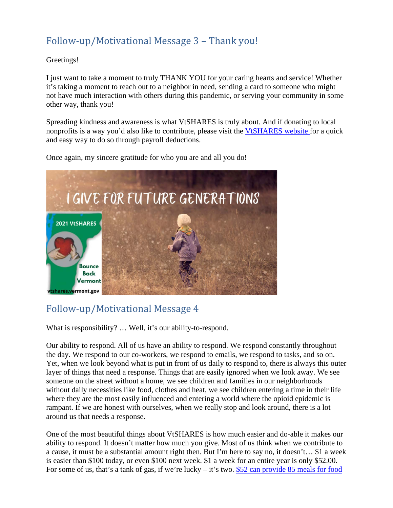# Follow-up/Motivational Message 3 – Thank you!

#### Greetings!

I just want to take a moment to truly THANK YOU for your caring hearts and service! Whether it's taking a moment to reach out to a neighbor in need, sending a card to someone who might not have much interaction with others during this pandemic, or serving your community in some other way, thank you!

Spreading kindness and awareness is what VtSHARES is truly about. And if donating to local nonprofits is a way you'd also like to contribute, please visit the [VtSHARES website f](https://vtshares.vermont.gov/content/pledge)or a quick and easy way to do so through payroll deductions.



Once again, my sincere gratitude for who you are and all you do!

# Follow-up/Motivational Message 4

What is responsibility? … Well, it's our ability-to-respond.

Our ability to respond. All of us have an ability to respond. We respond constantly throughout the day. We respond to our co-workers, we respond to emails, we respond to tasks, and so on. Yet, when we look beyond what is put in front of us daily to respond to, there is always this outer layer of things that need a response. Things that are easily ignored when we look away. We see someone on the street without a home, we see children and families in our neighborhoods without daily necessities like food, clothes and heat, we see children entering a time in their life where they are the most easily influenced and entering a world where the opioid epidemic is rampant. If we are honest with ourselves, when we really stop and look around, there is a lot around us that needs a response.

One of the most beautiful things about VtSHARES is how much easier and do-able it makes our ability to respond. It doesn't matter how much you give. Most of us think when we contribute to a cause, it must be a substantial amount right then. But I'm here to say no, it doesn't… \$1 a week is easier than \$100 today, or even \$100 next week. \$1 a week for an entire year is only \$52.00. For some of us, that's a tank of gas, if we're lucky – it's two. [\\$52 can provide 85 meals for food](https://vtshares.vermont.gov/sites/vtshares/files/documents/What%20your%20dollar%20can%20do%20-%20VtSHARES%20Final.pdf)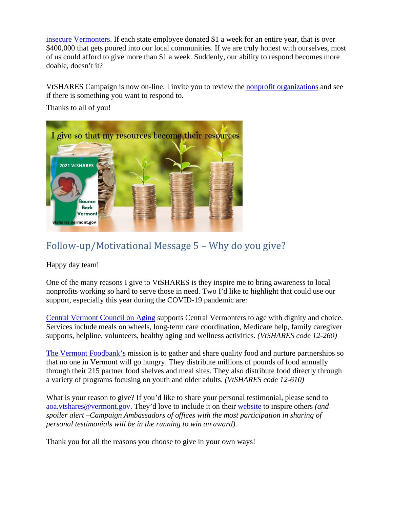[insecure Vermonters.](https://vtshares.vermont.gov/sites/vtshares/files/documents/What%20your%20dollar%20can%20do%20-%20VtSHARES%20Final.pdf) If each state employee donated \$1 a week for an entire year, that is over \$400,000 that gets poured into our local communities. If we are truly honest with ourselves, most of us could afford to give more than \$1 a week. Suddenly, our ability to respond becomes more doable, doesn't it?

VtSHARES Campaign is now on-line. I invite you to review the [nonprofit organizations](https://vtshares.vermont.gov/content/nonprofit-organizations) and see if there is something you want to respond to.

Thanks to all of you!



# Follow-up/Motivational Message 5 – Why do you give?

Happy day team!

One of the many reasons I give to VtSHARES is they inspire me to bring awareness to local nonprofits working so hard to serve those in need. Two I'd like to highlight that could use our support, especially this year during the COVID-19 pandemic are:

[Central Vermont Council on Aging](https://www.cvcoa.org/) supports Central Vermonters to age with dignity and choice. Services include meals on wheels, long-term care coordination, Medicare help, family caregiver supports, helpline, volunteers, healthy aging and wellness activities. *(VtSHARES code 12-260)*

[The Vermont Foodbank's](https://www.vtfoodbank.org/) mission is to gather and share quality food and nurture partnerships so that no one in Vermont will go hungry. They distribute millions of pounds of food annually through their 215 partner food shelves and meal sites. They also distribute food directly through a variety of programs focusing on youth and older adults. *(VtSHARES code 12-610)*

What is your reason to give? If you'd like to share your personal testimonial, please send to [aoa.vtshares@vermont.gov.](mailto:aoa.vtshares@vermont.gov) They'd love to include it on their [website](https://vtshares.vermont.gov/stories) to inspire others *(and spoiler alert –Campaign Ambassadors of offices with the most participation in sharing of personal testimonials will be in the running to win an award).* 

Thank you for all the reasons you choose to give in your own ways!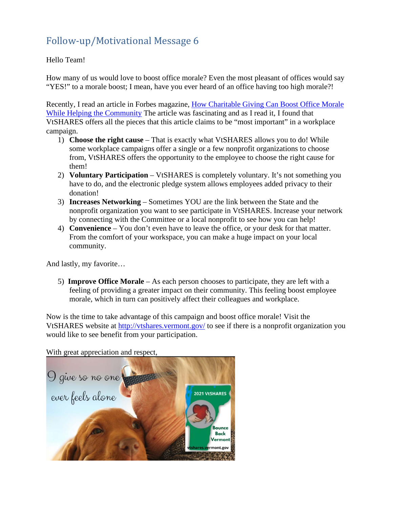# Follow-up/Motivational Message 6

#### Hello Team!

How many of us would love to boost office morale? Even the most pleasant of offices would say "YES!" to a morale boost; I mean, have you ever heard of an office having too high morale?!

Recently, I read an article in Forbes magazine, [How Charitable Giving Can Boost Office Morale](https://resources.mtopconsulting.com/hubfs/resources-pdfs/How-Charitable-Giving-Can-Boost-Office-Morale-While-Helping-The-Community-Forbes.pdf)  [While Helping the Community](https://resources.mtopconsulting.com/hubfs/resources-pdfs/How-Charitable-Giving-Can-Boost-Office-Morale-While-Helping-The-Community-Forbes.pdf) The article was fascinating and as I read it, I found that VtSHARES offers all the pieces that this article claims to be "most important" in a workplace campaign.

- 1) **Choose the right cause** That is exactly what VtSHARES allows you to do! While some workplace campaigns offer a single or a few nonprofit organizations to choose from, VtSHARES offers the opportunity to the employee to choose the right cause for them!
- 2) **Voluntary Participation**  VtSHARES is completely voluntary. It's not something you have to do, and the electronic pledge system allows employees added privacy to their donation!
- 3) **Increases Networking**  Sometimes YOU are the link between the State and the nonprofit organization you want to see participate in VtSHARES. Increase your network by connecting with the Committee or a local nonprofit to see how you can help!
- 4) **Convenience**  You don't even have to leave the office, or your desk for that matter. From the comfort of your workspace, you can make a huge impact on your local community.

And lastly, my favorite…

5) **Improve Office Morale** – As each person chooses to participate, they are left with a feeling of providing a greater impact on their community. This feeling boost employee morale, which in turn can positively affect their colleagues and workplace.

Now is the time to take advantage of this campaign and boost office morale! Visit the VtSHARES website at<http://vtshares.vermont.gov/> to see if there is a nonprofit organization you would like to see benefit from your participation.

With great appreciation and respect,

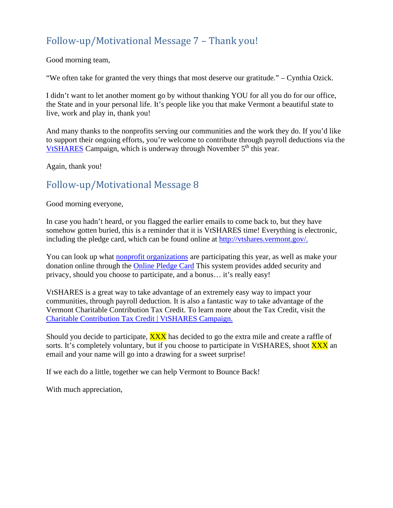#### Follow-up/Motivational Message 7 – Thank you!

Good morning team,

"We often take for granted the very things that most deserve our gratitude." – Cynthia Ozick.

I didn't want to let another moment go by without thanking YOU for all you do for our office, the State and in your personal life. It's people like you that make Vermont a beautiful state to live, work and play in, thank you!

And many thanks to the nonprofits serving our communities and the work they do. If you'd like to support their ongoing efforts, you're welcome to contribute through payroll deductions via the [VtSHARES](https://vtshares.vermont.gov/) Campaign, which is underway through November  $5<sup>th</sup>$  this year.

Again, thank you!

#### Follow-up/Motivational Message 8

Good morning everyone,

In case you hadn't heard, or you flagged the earlier emails to come back to, but they have somehow gotten buried, this is a reminder that it is VtSHARES time! Everything is electronic, including the pledge card, which can be found online at [http://vtshares.vermont.gov/.](http://vtshares.vermont.gov/)

You can look up what [nonprofit organizations](https://vtshares.vermont.gov/content/nonprofit-organizations) are participating this year, as well as make your donation online through the [Online Pledge Card](https://vtshares.vermont.gov/content/pledge) This system provides added security and privacy, should you choose to participate, and a bonus… it's really easy!

VtSHARES is a great way to take advantage of an extremely easy way to impact your communities, through payroll deduction. It is also a fantastic way to take advantage of the Vermont Charitable Contribution Tax Credit. To learn more about the Tax Credit, visit the [Charitable Contribution Tax Credit | VtSHARES Campaign.](http://vtshares.vermont.gov/content/charitable-contribution-tax-credit)

Should you decide to participate, **XXX** has decided to go the extra mile and create a raffle of sorts. It's completely voluntary, but if you choose to participate in VtSHARES, shoot XXX an email and your name will go into a drawing for a sweet surprise!

If we each do a little, together we can help Vermont to Bounce Back!

With much appreciation,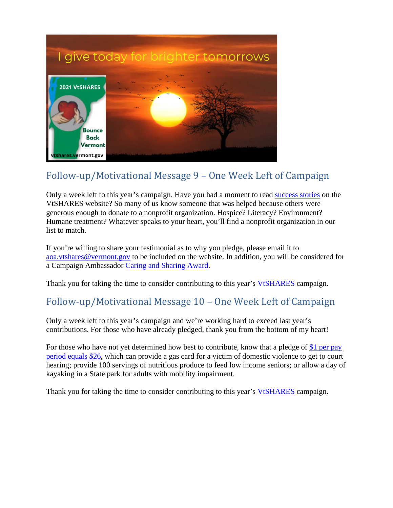

# Follow-up/Motivational Message 9 – One Week Left of Campaign

Only a week left to this year's campaign. Have you had a moment to read [success stories](https://vtshares.vermont.gov/stories) on the VtSHARES website? So many of us know someone that was helped because others were generous enough to donate to a nonprofit organization. Hospice? Literacy? Environment? Humane treatment? Whatever speaks to your heart, you'll find a nonprofit organization in our list to match.

If you're willing to share your testimonial as to why you pledge, please email it to [aoa.vtshares@vermont.gov](mailto:aoa.vtshares@vermont.gov) to be included on the website. In addition, you will be considered for a Campaign Ambassador [Caring and Sharing Award.](https://vtshares.vermont.gov/about-us/awards)

Thank you for taking the time to consider contributing to this year's [VtSHARES](http://vtshares.vermont.gov/) campaign.

#### Follow-up/Motivational Message 10 – One Week Left of Campaign

Only a week left to this year's campaign and we're working hard to exceed last year's contributions. For those who have already pledged, thank you from the bottom of my heart!

For those who have not yet determined how best to contribute, know that a pledge of \$1 per pay [period equals \\$26,](https://vtshares.vermont.gov/sites/vtshares/files/documents/What%20your%20dollar%20can%20do%20-%20VtSHARES%20Final.pdf) which can provide a gas card for a victim of domestic violence to get to court hearing; provide 100 servings of nutritious produce to feed low income seniors; or allow a day of kayaking in a State park for adults with mobility impairment.

Thank you for taking the time to consider contributing to this year's [VtSHARES](http://vtshares.vermont.gov/) campaign.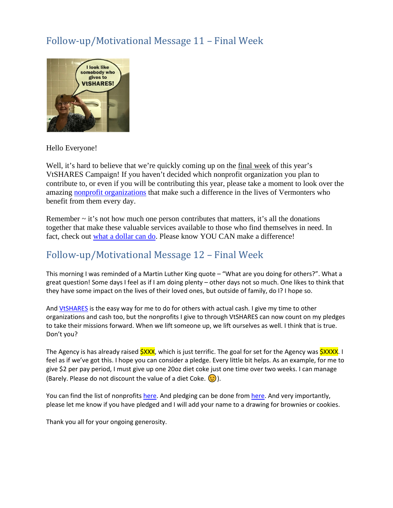#### Follow-up/Motivational Message 11 – Final Week



Hello Everyone!

Well, it's hard to believe that we're quickly coming up on the final week of this year's VtSHARES Campaign! If you haven't decided which nonprofit organization you plan to contribute to, or even if you will be contributing this year, please take a moment to look over the amazing [nonprofit organizations](https://vtshares.vermont.gov/content/nonprofit-organizations) that make such a difference in the lives of Vermonters who benefit from them every day.

Remember  $\sim$  it's not how much one person contributes that matters, it's all the donations together that make these valuable services available to those who find themselves in need. In fact, check out [what a dollar can do.](https://vtshares.vermont.gov/content/state-employees) Please know YOU CAN make a difference!

#### Follow-up/Motivational Message 12 – Final Week

This morning I was reminded of a Martin Luther King quote – "What are you doing for others?". What a great question! Some days I feel as if I am doing plenty – other days not so much. One likes to think that they have some impact on the lives of their loved ones, but outside of family, do I? I hope so.

And [VtSHARES](https://vtshares.vermont.gov/) is the easy way for me to do for others with actual cash. I give my time to other organizations and cash too, but the nonprofits I give to through VtSHARES can now count on my pledges to take their missions forward. When we lift someone up, we lift ourselves as well. I think that is true. Don't you?

The Agency is has already raised **\$XXX**, which is just terrific. The goal for set for the Agency was **\$XXXX.** I feel as if we've got this. I hope you can consider a pledge. Every little bit helps. As an example, for me to give \$2 per pay period, I must give up one 20oz diet coke just one time over two weeks. I can manage (Barely. Please do not discount the value of a diet Coke.  $\circled{.}$ ).

You can find the list of nonprofits [here.](https://vtshares.vermont.gov/content/nonprofit-organizations) And pledging can be done fro[m here.](https://vtshares.vermont.gov/content/pledge) And very importantly, please let me know if you have pledged and I will add your name to a drawing for brownies or cookies.

Thank you all for your ongoing generosity.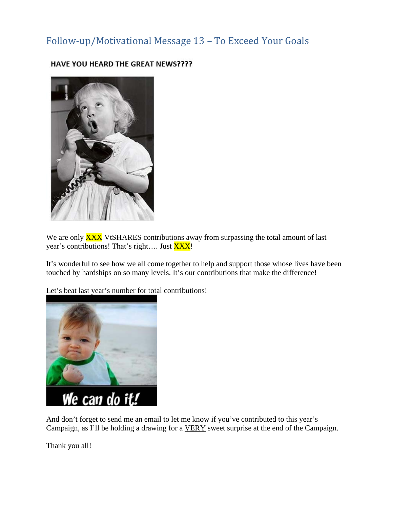#### Follow-up/Motivational Message 13 – To Exceed Your Goals



HAVE YOU HEARD THE GREAT NEWS????

We are only **XXX** VtSHARES contributions away from surpassing the total amount of last year's contributions! That's right.... Just XXX!

It's wonderful to see how we all come together to help and support those whose lives have been touched by hardships on so many levels. It's our contributions that make the difference!

Let's beat last year's number for total contributions!



And don't forget to send me an email to let me know if you've contributed to this year's Campaign, as I'll be holding a drawing for a VERY sweet surprise at the end of the Campaign.

Thank you all!